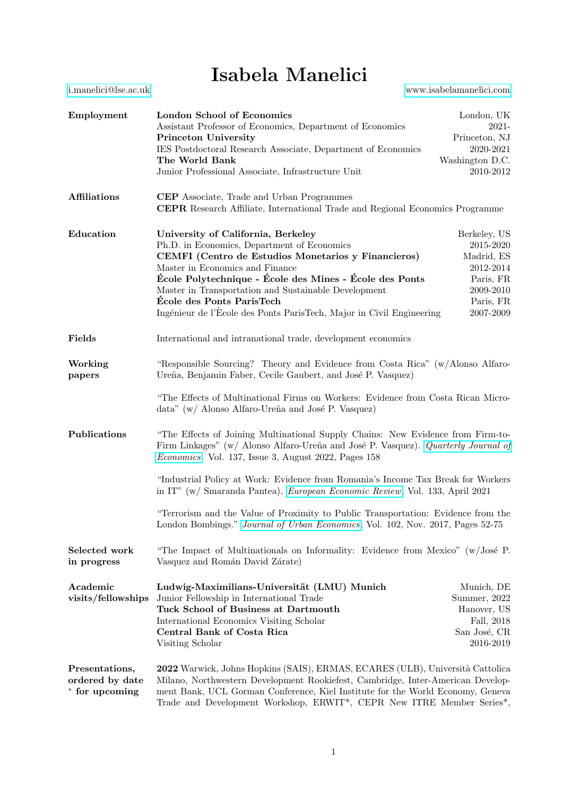## Isabela Manelici

[i.manelici@lse.ac.uk](mailto:i.manelici@lse.ac.uk)<www.isabelamanelici.com>

| Employment                                          | London School of Economics<br>Assistant Professor of Economics, Department of Economics<br><b>Princeton University</b><br>IES Postdoctoral Research Associate, Department of Economics<br>The World Bank<br>Junior Professional Associate, Infrastructure Unit                                                                                                                                      | London, UK<br>2021-<br>Princeton, NJ<br>2020-2021<br>Washington D.C.<br>2010-2012                        |
|-----------------------------------------------------|-----------------------------------------------------------------------------------------------------------------------------------------------------------------------------------------------------------------------------------------------------------------------------------------------------------------------------------------------------------------------------------------------------|----------------------------------------------------------------------------------------------------------|
| <b>Affiliations</b>                                 | <b>CEP</b> Associate, Trade and Urban Programmes<br><b>CEPR</b> Research Affiliate, International Trade and Regional Economics Programme                                                                                                                                                                                                                                                            |                                                                                                          |
| Education                                           | University of California, Berkeley<br>Ph.D. in Economics, Department of Economics<br>CEMFI (Centro de Estudios Monetarios y Financieros)<br>Master in Economics and Finance<br>École Polytechnique - École des Mines - École des Ponts<br>Master in Transportation and Sustainable Development<br>École des Ponts ParisTech<br>Ingénieur de l'École des Ponts ParisTech, Major in Civil Engineering | Berkeley, US<br>2015-2020<br>Madrid, ES<br>2012-2014<br>Paris, FR<br>2009-2010<br>Paris, FR<br>2007-2009 |
| Fields                                              | International and intranational trade, development economics                                                                                                                                                                                                                                                                                                                                        |                                                                                                          |
| Working<br>papers                                   | "Responsible Sourcing? Theory and Evidence from Costa Rica" (w/Alonso Alfaro-<br>Ureña, Benjamin Faber, Cecile Gaubert, and José P. Vasquez)                                                                                                                                                                                                                                                        |                                                                                                          |
|                                                     | "The Effects of Multinational Firms on Workers: Evidence from Costa Rican Micro-<br>data" (w/ Alonso Alfaro-Ureña and José P. Vasquez)                                                                                                                                                                                                                                                              |                                                                                                          |
| Publications                                        | "The Effects of Joining Multinational Supply Chains: New Evidence from Firm-to-<br>Firm Linkages" (w/ Alonso Alfaro-Ureña and José P. Vasquez). Quarterly Journal of<br>Economics. Vol. 137, Issue 3, August 2022, Pages 158                                                                                                                                                                        |                                                                                                          |
|                                                     | "Industrial Policy at Work: Evidence from Romania's Income Tax Break for Workers<br>in IT" (w/ Smaranda Pantea). European Economic Review, Vol. 133, April 2021                                                                                                                                                                                                                                     |                                                                                                          |
|                                                     | "Terrorism and the Value of Proximity to Public Transportation: Evidence from the<br>London Bombings." Journal of Urban Economics, Vol. 102, Nov. 2017, Pages 52-75                                                                                                                                                                                                                                 |                                                                                                          |
| Selected work<br>in progress                        | "The Impact of Multinationals on Informality: Evidence from Mexico" (w/José P.<br>Vasquez and Román David Zárate)                                                                                                                                                                                                                                                                                   |                                                                                                          |
| Academic<br>visits/fellowships                      | Ludwig-Maximilians-Universität (LMU) Munich<br>Junior Fellowship in International Trade<br>Tuck School of Business at Dartmouth<br>International Economics Visiting Scholar<br>Central Bank of Costa Rica<br>Visiting Scholar                                                                                                                                                                       | Munich, DE<br>Summer, 2022<br>Hanover, US<br>Fall, 2018<br>San José, CR<br>2016-2019                     |
| Presentations,<br>ordered by date<br>* for upcoming | 2022 Warwick, Johns Hopkins (SAIS), ERMAS, ECARES (ULB), Università Cattolica<br>Milano, Northwestern Development Rookiefest, Cambridge, Inter-American Develop-<br>ment Bank, UCL Gorman Conference, Kiel Institute for the World Economy, Geneva<br>Trade and Development Workshop, ERWIT*, CEPR New ITRE Member Series*,                                                                         |                                                                                                          |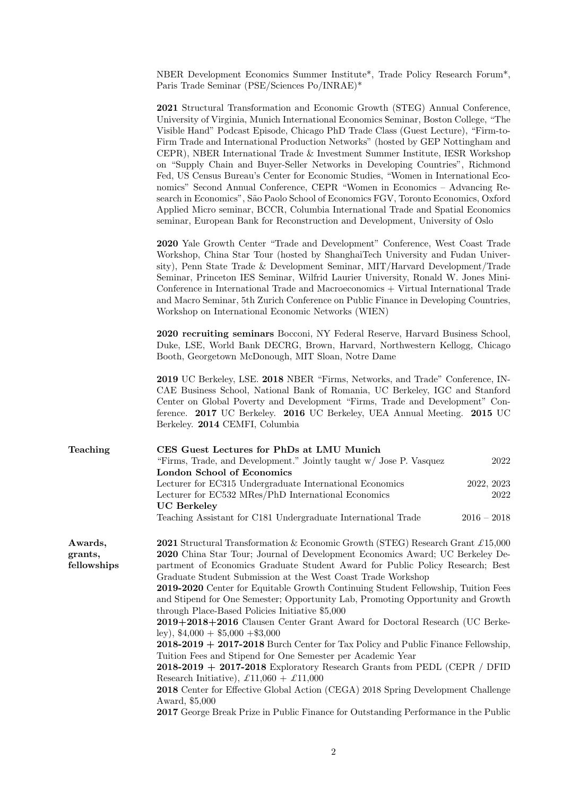NBER Development Economics Summer Institute\*, Trade Policy Research Forum\*, Paris Trade Seminar (PSE/Sciences Po/INRAE)\*

|                                   | <b>2021</b> Structural Transformation and Economic Growth (STEG) Annual Conference,<br>University of Virginia, Munich International Economics Seminar, Boston College, "The<br>Visible Hand" Podcast Episode, Chicago PhD Trade Class (Guest Lecture), "Firm-to-<br>Firm Trade and International Production Networks" (hosted by GEP Nottingham and<br>CEPR), NBER International Trade & Investment Summer Institute, IESR Workshop<br>on "Supply Chain and Buyer-Seller Networks in Developing Countries", Richmond<br>Fed, US Census Bureau's Center for Economic Studies, "Women in International Eco-<br>nomics" Second Annual Conference, CEPR "Women in Economics - Advancing Re-<br>search in Economics", São Paolo School of Economics FGV, Toronto Economics, Oxford<br>Applied Micro seminar, BCCR, Columbia International Trade and Spatial Economics<br>seminar, European Bank for Reconstruction and Development, University of Oslo |      |
|-----------------------------------|---------------------------------------------------------------------------------------------------------------------------------------------------------------------------------------------------------------------------------------------------------------------------------------------------------------------------------------------------------------------------------------------------------------------------------------------------------------------------------------------------------------------------------------------------------------------------------------------------------------------------------------------------------------------------------------------------------------------------------------------------------------------------------------------------------------------------------------------------------------------------------------------------------------------------------------------------|------|
|                                   | 2020 Yale Growth Center "Trade and Development" Conference, West Coast Trade<br>Workshop, China Star Tour (hosted by ShanghaiTech University and Fudan Univer-<br>sity), Penn State Trade & Development Seminar, MIT/Harvard Development/Trade<br>Seminar, Princeton IES Seminar, Wilfrid Laurier University, Ronald W. Jones Mini-<br>Conference in International Trade and Macroeconomics + Virtual International Trade<br>and Macro Seminar, 5th Zurich Conference on Public Finance in Developing Countries,<br>Workshop on International Economic Networks (WIEN)                                                                                                                                                                                                                                                                                                                                                                            |      |
|                                   | 2020 recruiting seminars Bocconi, NY Federal Reserve, Harvard Business School,<br>Duke, LSE, World Bank DECRG, Brown, Harvard, Northwestern Kellogg, Chicago<br>Booth, Georgetown McDonough, MIT Sloan, Notre Dame                                                                                                                                                                                                                                                                                                                                                                                                                                                                                                                                                                                                                                                                                                                                |      |
|                                   | 2019 UC Berkeley, LSE. 2018 NBER "Firms, Networks, and Trade" Conference, IN-<br>CAE Business School, National Bank of Romania, UC Berkeley, IGC and Stanford<br>Center on Global Poverty and Development "Firms, Trade and Development" Con-<br>ference. 2017 UC Berkeley. 2016 UC Berkeley, UEA Annual Meeting. 2015 UC<br>Berkeley. 2014 CEMFI, Columbia                                                                                                                                                                                                                                                                                                                                                                                                                                                                                                                                                                                       |      |
| Teaching                          | CES Guest Lectures for PhDs at LMU Munich<br>"Firms, Trade, and Development." Jointly taught w/ Jose P. Vasquez<br>London School of Economics                                                                                                                                                                                                                                                                                                                                                                                                                                                                                                                                                                                                                                                                                                                                                                                                     | 2022 |
|                                   | Lecturer for EC315 Undergraduate International Economics<br>2022, 2023<br>Lecturer for EC532 MRes/PhD International Economics<br><b>UC</b> Berkeley<br>Teaching Assistant for C181 Undergraduate International Trade<br>$2016 - 2018$                                                                                                                                                                                                                                                                                                                                                                                                                                                                                                                                                                                                                                                                                                             | 2022 |
| Awards,<br>grants,<br>fellowships | <b>2021</b> Structural Transformation & Economic Growth (STEG) Research Grant £15,000<br>2020 China Star Tour; Journal of Development Economics Award; UC Berkeley De-<br>partment of Economics Graduate Student Award for Public Policy Research; Best<br>Graduate Student Submission at the West Coast Trade Workshop<br>2019-2020 Center for Equitable Growth Continuing Student Fellowship, Tuition Fees<br>and Stipend for One Semester; Opportunity Lab, Promoting Opportunity and Growth<br>through Place-Based Policies Initiative \$5,000<br>2019+2018+2016 Clausen Center Grant Award for Doctoral Research (UC Berke-<br>ley), $$4,000 + $5,000 + $3,000$                                                                                                                                                                                                                                                                              |      |
|                                   | $2018-2019 + 2017-2018$ Burch Center for Tax Policy and Public Finance Fellowship,<br>Tuition Fees and Stipend for One Semester per Academic Year<br>$2018-2019 + 2017-2018$ Exploratory Research Grants from PEDL (CEPR / DFID                                                                                                                                                                                                                                                                                                                                                                                                                                                                                                                                                                                                                                                                                                                   |      |
|                                   |                                                                                                                                                                                                                                                                                                                                                                                                                                                                                                                                                                                                                                                                                                                                                                                                                                                                                                                                                   |      |